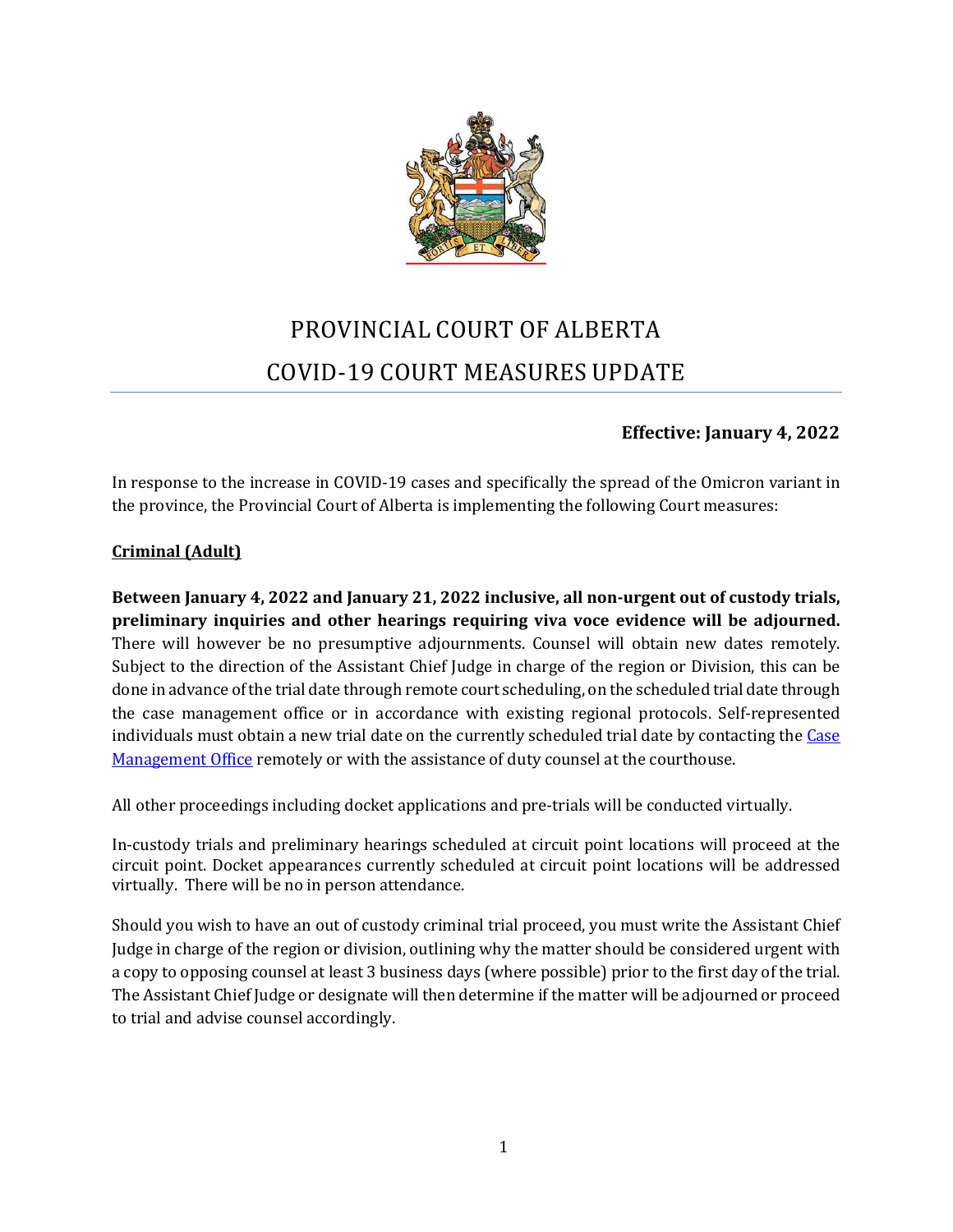

# PROVINCIAL COURT OF ALBERTA COVID-19 COURT MEASURES UPDATE

# **Effective: January 4, 2022**

In response to the increase in COVID-19 cases and specifically the spread of the Omicron variant in the province, the Provincial Court of Alberta is implementing the following Court measures:

## **Criminal (Adult)**

**Between January 4, 2022 and January 21, 2022 inclusive, all non-urgent out of custody trials, preliminary inquiries and other hearings requiring viva voce evidence will be adjourned.**  There will however be no presumptive adjournments. Counsel will obtain new dates remotely. Subject to the direction of the Assistant Chief Judge in charge of the region or Division, this can be done in advance of the trial date through remote court scheduling, on the scheduled trial date through the case management office or in accordance with existing regional protocols. Self-represented individuals must obtain a new trial date on the currently scheduled trial date by contacting the Case [Management Office](https://albertacourts.ca/docs/default-source/pc/provincial-court-contact-list-for-cmo-appearances.pdf?sfvrsn=12469580_70) remotely or with the assistance of duty counsel at the courthouse.

All other proceedings including docket applications and pre-trials will be conducted virtually.

In-custody trials and preliminary hearings scheduled at circuit point locations will proceed at the circuit point. Docket appearances currently scheduled at circuit point locations will be addressed virtually. There will be no in person attendance.

Should you wish to have an out of custody criminal trial proceed, you must write the Assistant Chief Judge in charge of the region or division, outlining why the matter should be considered urgent with a copy to opposing counsel at least 3 business days (where possible) prior to the first day of the trial. The Assistant Chief Judge or designate will then determine if the matter will be adjourned or proceed to trial and advise counsel accordingly.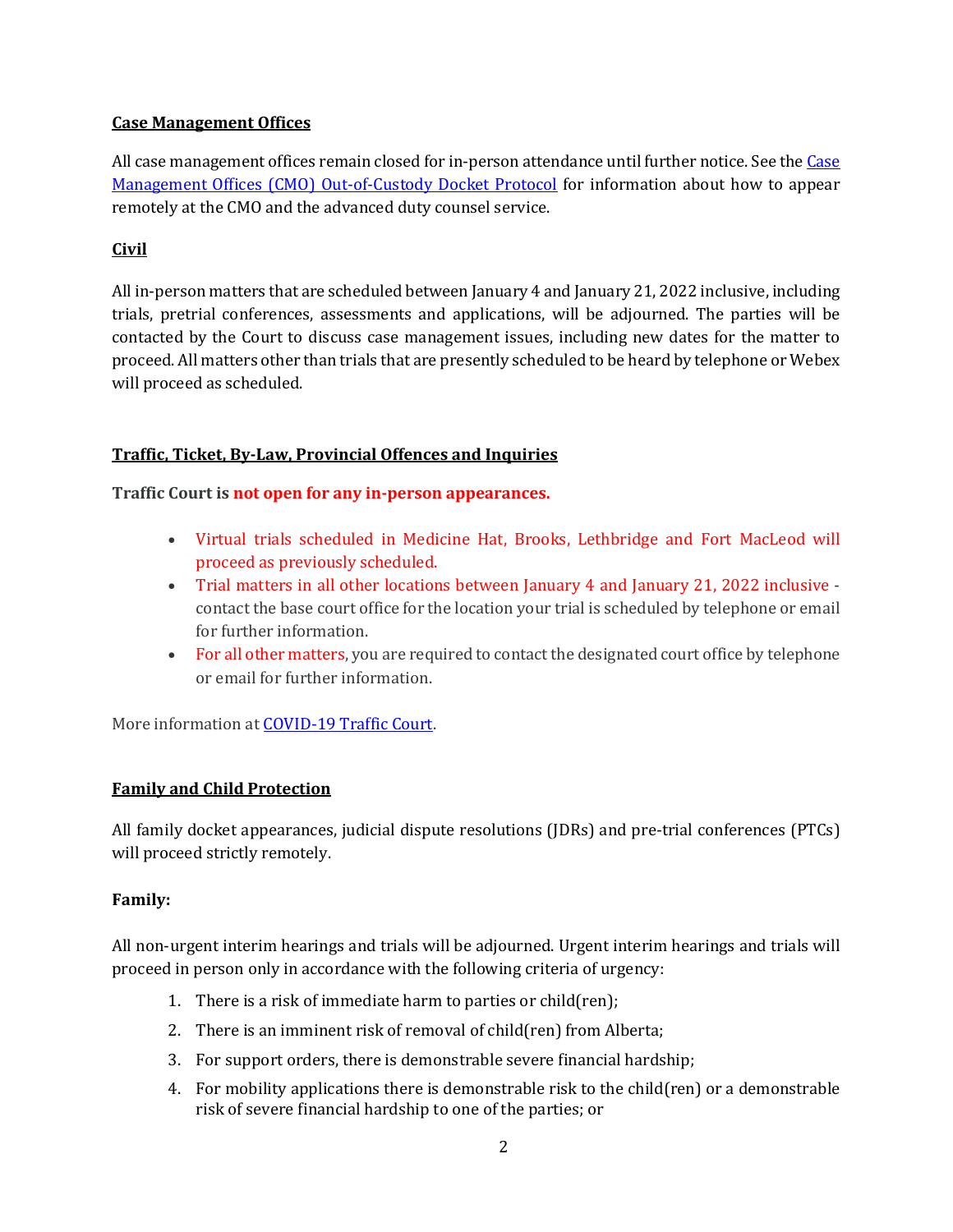# **Case Management Offices**

All case management offices remain closed for in-person attendance until further notice. See the Case [Management Offices \(CMO\) Out-of-Custody Docket Protocol](https://albertacourts.ca/pc/resources/covid/covid-19-criminal-and-youth-criminal-matters/CMO) for information about how to appear remotely at the CMO and the advanced duty counsel service.

## **Civil**

All in-person matters that are scheduled between January 4 and January 21, 2022 inclusive, including trials, pretrial conferences, assessments and applications, will be adjourned. The parties will be contacted by the Court to discuss case management issues, including new dates for the matter to proceed. All matters other than trials that are presently scheduled to be heard by telephone or Webex will proceed as scheduled.

# **Traffic, Ticket, By-Law, Provincial Offences and Inquiries**

**Traffic Court is not open for any in-person appearances.**

- Virtual trials scheduled in Medicine Hat, Brooks, Lethbridge and Fort MacLeod will proceed as previously scheduled.
- Trial matters in all other locations between January 4 and January 21, 2022 inclusive contact the base court office for the location your trial is scheduled by telephone or email for further information.
- For all other matters, you are required to contact the designated court office by telephone or email for further information.

More information at [COVID-19 Traffic Court.](https://albertacourts.ca/pc/resources/covid/covid-19-traffic-court)

#### **Family and Child Protection**

All family docket appearances, judicial dispute resolutions (JDRs) and pre-trial conferences (PTCs) will proceed strictly remotely.

#### **Family:**

All non-urgent interim hearings and trials will be adjourned. Urgent interim hearings and trials will proceed in person only in accordance with the following criteria of urgency:

- 1. There is a risk of immediate harm to parties or child(ren);
- 2. There is an imminent risk of removal of child(ren) from Alberta;
- 3. For support orders, there is demonstrable severe financial hardship;
- 4. For mobility applications there is demonstrable risk to the child(ren) or a demonstrable risk of severe financial hardship to one of the parties; or